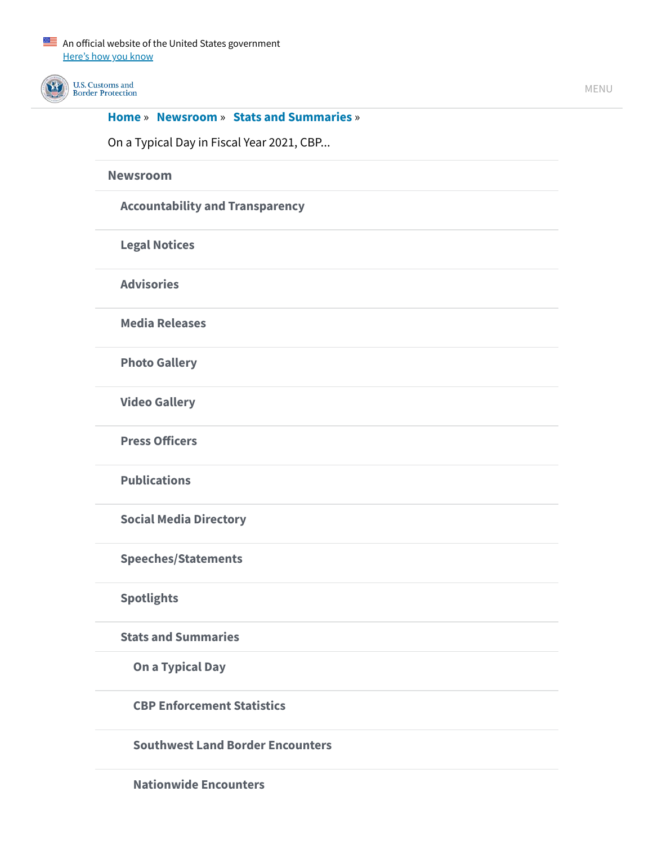

U.S. Customs and **Border Protection** 

### **[Home](https://www.cbp.gov/)** » **[Newsroom](https://www.cbp.gov/newsroom)** » **[Stats and Summaries](https://www.cbp.gov/newsroom/stats)** »

On a Typical Day in Fiscal Year 2021, CBP...

**[Newsroom](https://www.cbp.gov/newsroom)**

**[Accountability and Transparency](https://www.cbp.gov/newsroom/accountability-and-transparency)**

**[Legal Notices](https://www.cbp.gov/newsroom/legal-notices)**

**[Advisories](https://www.cbp.gov/newsroom/news/advisories)**

**[Media Releases](https://www.cbp.gov/newsroom/media-releases/all)**

**[Photo Gallery](https://www.cbp.gov/newsroom/photo-gallery)**

**[Video Gallery](https://www.cbp.gov/newsroom/video-gallery)**

**[Press Officers](https://www.cbp.gov/newsroom/press)**

**[Publications](https://www.cbp.gov/newsroom/publications)**

**[Social Media Directory](https://www.cbp.gov/newsroom/social-media-directory)**

**[Speeches/Statements](https://www.cbp.gov/newsroom/speeches)**

**[Spotlights](https://www.cbp.gov/newsroom/news/news-from-cbp)**

**[Stats and Summaries](https://www.cbp.gov/newsroom/stats)**

**[On a Typical Day](https://www.cbp.gov/newsroom/stats/typical-day-fy2020)**

**[CBP Enforcement Statistics](https://www.cbp.gov/newsroom/stats/cbp-enforcement-statistics)**

**[Southwest Land Border Encounters](https://www.cbp.gov/newsroom/stats/southwest-land-border-encounters)**

**[Nationwide Encounters](https://www.cbp.gov/newsroom/stats/nationwide-encounters)**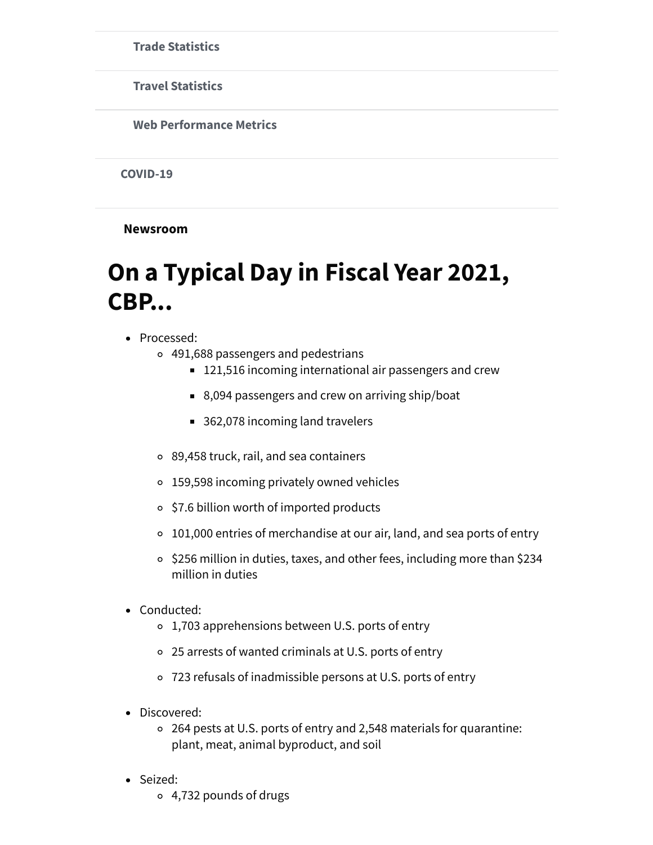**[Trade Statistics](https://www.cbp.gov/newsroom/stats/trade)**

**[Travel Statistics](https://www.cbp.gov/newsroom/stats/travel)**

**[Web Performance Metrics](https://www.cbp.gov/newsroom/stats/webmetrics)**

**[COVID-19](https://www.cbp.gov/newsroom/coronavirus)**

**Newsroom**

# **On a Typical Day in Fiscal Year 2021, CBP...**

- Processed:
	- 491,688 passengers and pedestrians
		- 121,516 incoming international air passengers and crew
		- 8,094 passengers and crew on arriving ship/boat
		- 362,078 incoming land travelers
	- 89,458 truck, rail, and sea containers
	- 159,598 incoming privately owned vehicles
	- \$7.6 billion worth of imported products
	- 101,000 entries of merchandise at our air, land, and sea ports of entry
	- o \$256 million in duties, taxes, and other fees, including more than \$234 million in duties
- Conducted:
	- 1,703 apprehensions between U.S. ports of entry
	- 25 arrests of wanted criminals at U.S. ports of entry
	- 723 refusals of inadmissible persons at U.S. ports of entry
- Discovered:
	- 264 pests at U.S. ports of entry and 2,548 materials for quarantine: plant, meat, animal byproduct, and soil
- Seized:
	- 4,732 pounds of drugs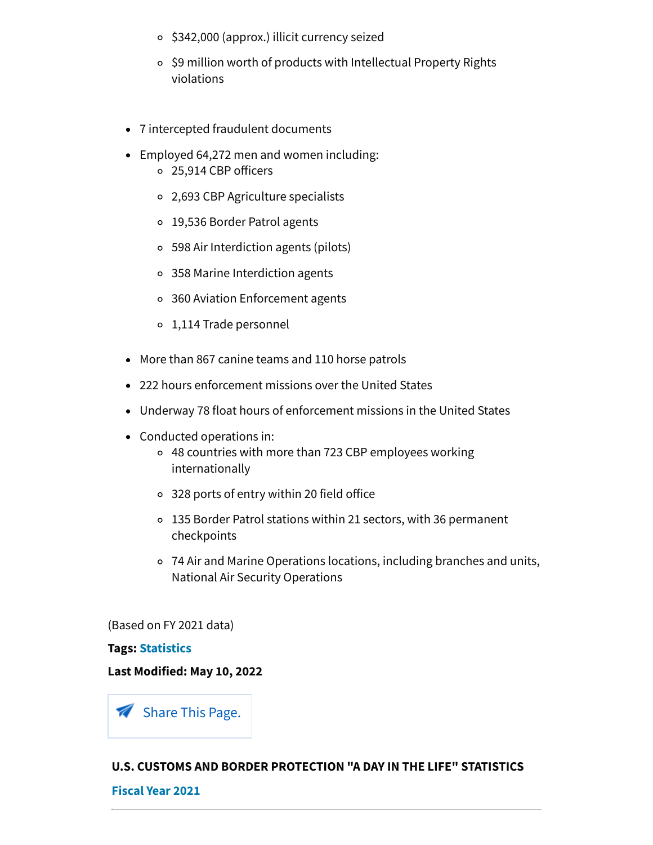- \$342,000 (approx.) illicit currency seized
- \$9 million worth of products with Intellectual Property Rights violations
- 7 intercepted fraudulent documents
- Employed 64,272 men and women including: 25,914 CBP officers
	- 2,693 CBP Agriculture specialists
	- 19,536 Border Patrol agents
	- 598 Air Interdiction agents (pilots)
	- 358 Marine Interdiction agents
	- 360 Aviation Enforcement agents
	- 1,114 Trade personnel
- More than 867 canine teams and 110 horse patrols
- 222 hours enforcement missions over the United States
- Underway 78 float hours of enforcement missions in the United States
- Conducted operations in:
	- 48 countries with more than 723 CBP employees working internationally
	- 328 ports of entry within 20 field office
	- 135 Border Patrol stations within 21 sectors, with 36 permanent checkpoints
	- 74 Air and Marine Operations locations, including branches and units, National Air Security Operations

(Based on FY 2021 data)

#### **Tags: [Statistics](https://www.cbp.gov/tags/statistics)**

#### **Last Modified: May 10, 2022**

Share This Page.

## **U.S. CUSTOMS AND BORDER PROTECTION "A DAY IN THE LIFE" STATISTICS**

#### **[Fiscal Year](https://www.cbp.gov/newsroom/stats/typical-day-fy2021) 2021**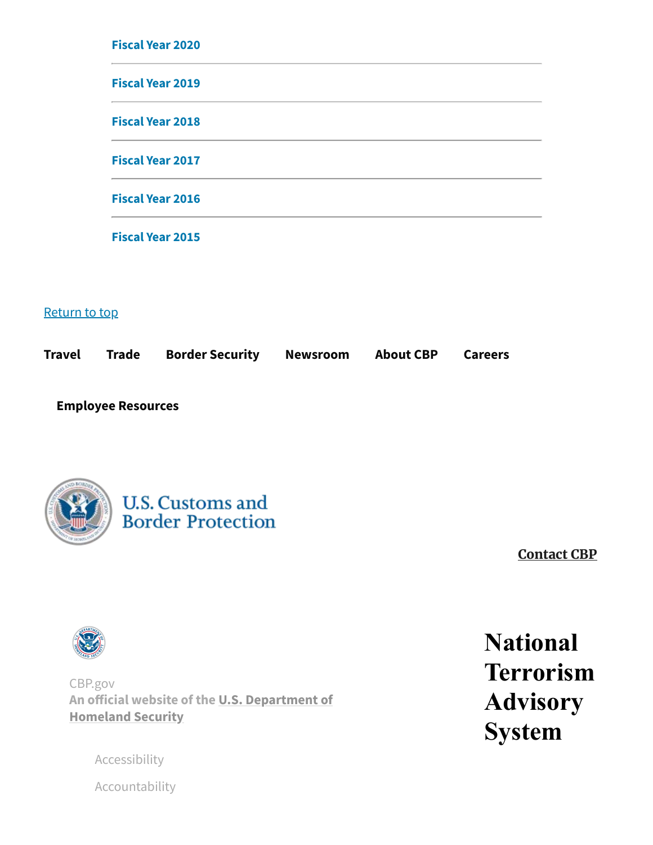| <b>Fiscal Year 2020</b> |  |  |
|-------------------------|--|--|
| <b>Fiscal Year 2019</b> |  |  |
| <b>Fiscal Year 2018</b> |  |  |
| <b>Fiscal Year 2017</b> |  |  |
| <b>Fiscal Year 2016</b> |  |  |
| <b>Fiscal Year 2015</b> |  |  |

# Return to top

| <b>Border Security</b><br>Travel Trade | <b>About CBP</b><br>Newsroom<br><b>Careers</b> |
|----------------------------------------|------------------------------------------------|
|----------------------------------------|------------------------------------------------|

**[Employee Resources](https://www.cbp.gov/employee-resources)**



**U.S. Customs and Border Protection** 

**[Contact CBP](https://www.cbp.gov/contact)**



CBP.gov **[An official website of the U.S. Department of](https://www.dhs.gov/) Homeland Security**

[Accessibility](https://www.cbp.gov/site-policy-notices/accessibility)

[Accountability](https://www.cbp.gov/newsroom/publications/performance-accountability-financial)

**National Terrorism Advisory System**